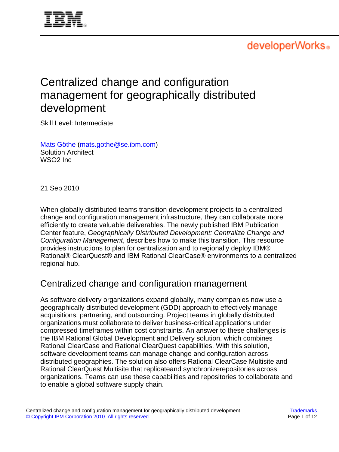

# developerWorks.

# Centralized change and configuration management for geographically distributed development

Skill Level: Intermediate

[Mats Göthe](#page-11-0) [\(mats.gothe@se.ibm.com](mailto:mats.gothe@se.ibm.com)) Solution Architect WSO2 Inc

21 Sep 2010

When globally distributed teams transition development projects to a centralized change and configuration management infrastructure, they can collaborate more efficiently to create valuable deliverables. The newly published IBM Publication Center feature, Geographically Distributed Development: Centralize Change and Configuration Management, describes how to make this transition. This resource provides instructions to plan for centralization and to regionally deploy IBM® Rational® ClearQuest® and IBM Rational ClearCase® environments to a centralized regional hub.

## Centralized change and configuration management

As software delivery organizations expand globally, many companies now use a geographically distributed development (GDD) approach to effectively manage acquisitions, partnering, and outsourcing. Project teams in globally distributed organizations must collaborate to deliver business-critical applications under compressed timeframes within cost constraints. An answer to these challenges is the IBM Rational Global Development and Delivery solution, which combines Rational ClearCase and Rational ClearQuest capabilities. With this solution, software development teams can manage change and configuration across distributed geographies. The solution also offers Rational ClearCase Multisite and Rational ClearQuest Multisite that replicateand synchronizerepositories across organizations. Teams can use these capabilities and repositories to collaborate and to enable a global software supply chain.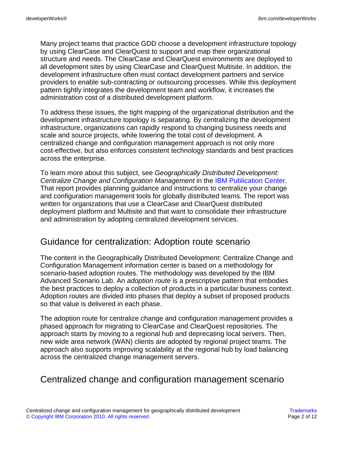Many project teams that practice GDD choose a development infrastructure topology by using ClearCase and ClearQuest to support and map their organizational structure and needs. The ClearCase and ClearQuest environments are deployed to all development sites by using ClearCase and ClearQuest Multisite. In addition, the development infrastructure often must contact development partners and service providers to enable sub-contracting or outsourcing processes. While this deployment pattern tightly integrates the development team and workflow, it increases the administration cost of a distributed development platform.

To address these issues, the tight mapping of the organizational distribution and the development infrastructure topology is separating. By centralizing the development infrastructure, organizations can rapidly respond to changing business needs and scale and source projects, while lowering the total cost of development. A centralized change and configuration management approach is not only more cost-effective, but also enforces consistent technology standards and best practices across the enterprise.

To learn more about this subject, see Geographically Distributed Development: Centralize Change and Configuration Management in the [IBM Publication Center](http://publib.boulder.ibm.com/infocenter/gddcccm/v1r0/index.jsp). That report provides planning guidance and instructions to centralize your change and configuration management tools for globally distributed teams. The report was written for organizations that use a ClearCase and ClearQuest distributed deployment platform and Multisite and that want to consolidate their infrastructure and administration by adopting centralized development services.

### Guidance for centralization: Adoption route scenario

The content in the Geographically Distributed Development: Centralize Change and Configuration Management information center is based on a methodology for scenario-based adoption routes. The methodology was developed by the IBM Advanced Scenario Lab. An *adoption route* is a prescriptive pattern that embodies the best practices to deploy a collection of products in a particular business context. Adoption routes are divided into phases that deploy a subset of proposed products so that value is delivered in each phase.

The adoption route for centralize change and configuration management provides a phased approach for migrating to ClearCase and ClearQuest repositories. The approach starts by moving to a regional hub and deprecating local servers. Then, new wide area network (WAN) clients are adopted by regional project teams. The approach also supports improving scalability at the regional hub by load balancing across the centralized change management servers.

## Centralized change and configuration management scenario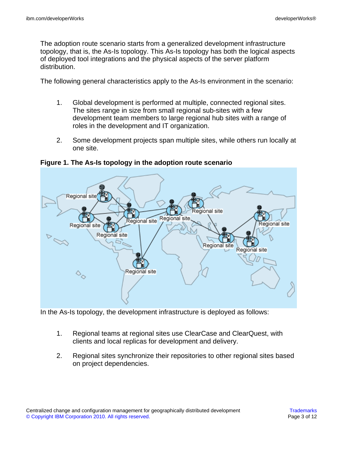The adoption route scenario starts from a generalized development infrastructure topology, that is, the As-Is topology. This As-Is topology has both the logical aspects of deployed tool integrations and the physical aspects of the server platform distribution.

The following general characteristics apply to the As-Is environment in the scenario:

- 1. Global development is performed at multiple, connected regional sites. The sites range in size from small regional sub-sites with a few development team members to large regional hub sites with a range of roles in the development and IT organization.
- 2. Some development projects span multiple sites, while others run locally at one site.



**Figure 1. The As-Is topology in the adoption route scenario**

In the As-Is topology, the development infrastructure is deployed as follows:

- 1. Regional teams at regional sites use ClearCase and ClearQuest, with clients and local replicas for development and delivery.
- 2. Regional sites synchronize their repositories to other regional sites based on project dependencies.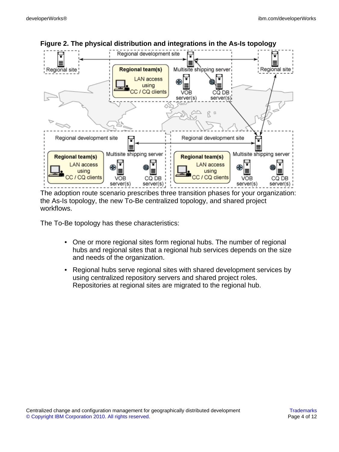

**Figure 2. The physical distribution and integrations in the As-Is topology**

The adoption route scenario prescribes three transition phases for your organization: the As-Is topology, the new To-Be centralized topology, and shared project workflows.

The To-Be topology has these characteristics:

- One or more regional sites form regional hubs. The number of regional hubs and regional sites that a regional hub services depends on the size and needs of the organization.
- Regional hubs serve regional sites with shared development services by using centralized repository servers and shared project roles. Repositories at regional sites are migrated to the regional hub.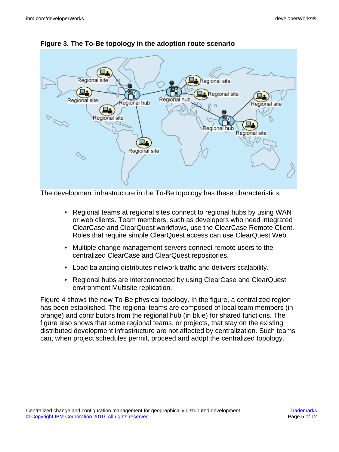



The development infrastructure in the To-Be topology has these characteristics:

- Regional teams at regional sites connect to regional hubs by using WAN or web clients. Team members, such as developers who need integrated ClearCase and ClearQuest workflows, use the ClearCase Remote Client. Roles that require simple ClearQuest access can use ClearQuest Web.
- Multiple change management servers connect remote users to the centralized ClearCase and ClearQuest repositories.
- Load balancing distributes network traffic and delivers scalability.
- Regional hubs are interconnected by using ClearCase and ClearQuest environment Multisite replication.

Figure 4 shows the new To-Be physical topology. In the figure, a centralized region has been established. The regional teams are composed of local team members (in orange) and contributors from the regional hub (in blue) for shared functions. The figure also shows that some regional teams, or projects, that stay on the existing distributed development infrastructure are not affected by centralization. Such teams can, when project schedules permit, proceed and adopt the centralized topology.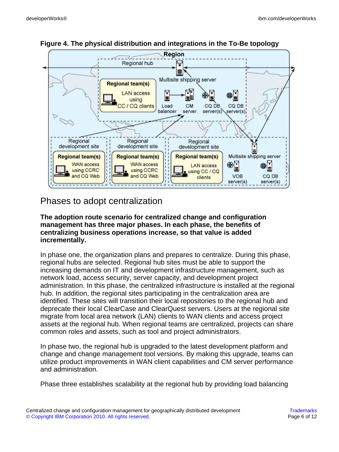



# Phases to adopt centralization

#### **The adoption route scenario for centralized change and configuration management has three major phases. In each phase, the benefits of centralizing business operations increase, so that value is added incrementally.**

In phase one, the organization plans and prepares to centralize. During this phase, regional hubs are selected. Regional hub sites must be able to support the increasing demands on IT and development infrastructure management, such as network load, access security, server capacity, and development project administration. In this phase, the centralized infrastructure is installed at the regional hub. In addition, the regional sites participating in the centralization area are identified. These sites will transition their local repositories to the regional hub and deprecate their local ClearCase and ClearQuest servers. Users at the regional site migrate from local area network (LAN) clients to WAN clients and access project assets at the regional hub. When regional teams are centralized, projects can share common roles and assets, such as tool and project administrators.

In phase two, the regional hub is upgraded to the latest development platform and change and change management tool versions. By making this upgrade, teams can utilize product improvements in WAN client capabilities and CM server performance and administration.

Phase three establishes scalability at the regional hub by providing load balancing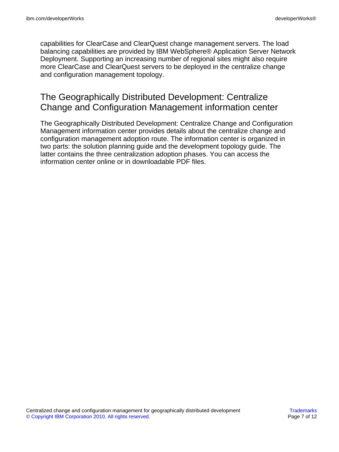capabilities for ClearCase and ClearQuest change management servers. The load balancing capabilities are provided by IBM WebSphere® Application Server Network Deployment. Supporting an increasing number of regional sites might also require more ClearCase and ClearQuest servers to be deployed in the centralize change and configuration management topology.

## The Geographically Distributed Development: Centralize Change and Configuration Management information center

The Geographically Distributed Development: Centralize Change and Configuration Management information center provides details about the centralize change and configuration management adoption route. The information center is organized in two parts: the solution planning guide and the development topology guide. The latter contains the three centralization adoption phases. You can access the information center online or in downloadable PDF files.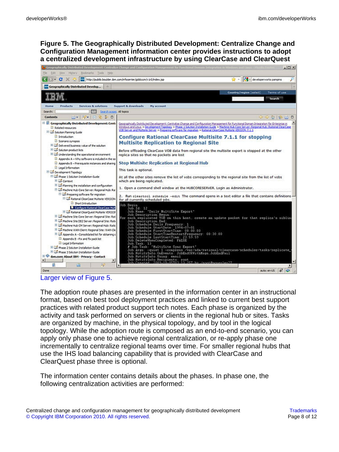**Figure 5. The Geographically Distributed Development: Centralize Change and Configuration Management information center provides instructions to adopt a centralized development infrastructure by using ClearCase and ClearQuest**



[Larger view of Figure 5.](figure_05.html)

The adoption route phases are presented in the information center in an instructional format, based on best tool deployment practices and linked to current best support practices with related product support tech notes. Each phase is organized by the activity and task performed on servers or clients in the regional hub or sites. Tasks are organized by machine, in the physical topology, and by tool in the logical topology. While the adoption route is composed as an end-to-end scenario, you can apply only phase one to achieve regional centralization, or re-apply phase one incrementally to centralize regional teams over time. For smaller regional hubs that use the IHS load balancing capability that is provided with ClearCase and ClearQuest phase three is optional.

The information center contains details about the phases. In phase one, the following centralization activities are performed: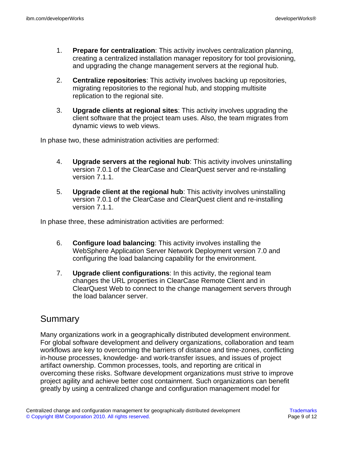- 1. **Prepare for centralization**: This activity involves centralization planning, creating a centralized installation manager repository for tool provisioning, and upgrading the change management servers at the regional hub.
- 2. **Centralize repositories**: This activity involves backing up repositories, migrating repositories to the regional hub, and stopping multisite replication to the regional site.
- 3. **Upgrade clients at regional sites**: This activity involves upgrading the client software that the project team uses. Also, the team migrates from dynamic views to web views.

In phase two, these administration activities are performed:

- 4. **Upgrade servers at the regional hub**: This activity involves uninstalling version 7.0.1 of the ClearCase and ClearQuest server and re-installing version 7.1.1.
- 5. **Upgrade client at the regional hub**: This activity involves uninstalling version 7.0.1 of the ClearCase and ClearQuest client and re-installing version 7.1.1.

In phase three, these administration activities are performed:

- 6. **Configure load balancing**: This activity involves installing the WebSphere Application Server Network Deployment version 7.0 and configuring the load balancing capability for the environment.
- 7. **Upgrade client configurations**: In this activity, the regional team changes the URL properties in ClearCase Remote Client and in ClearQuest Web to connect to the change management servers through the load balancer server.

## **Summary**

Many organizations work in a geographically distributed development environment. For global software development and delivery organizations, collaboration and team workflows are key to overcoming the barriers of distance and time-zones, conflicting in-house processes, knowledge- and work-transfer issues, and issues of project artifact ownership. Common processes, tools, and reporting are critical in overcoming these risks. Software development organizations must strive to improve project agility and achieve better cost containment. Such organizations can benefit greatly by using a centralized change and configuration management model for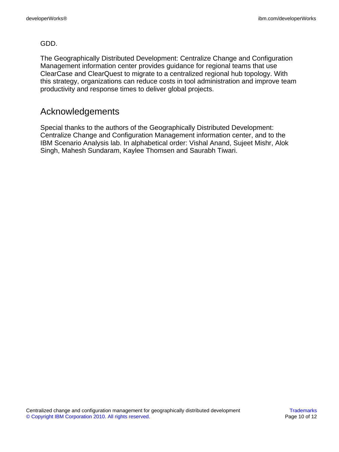#### GDD.

The Geographically Distributed Development: Centralize Change and Configuration Management information center provides guidance for regional teams that use ClearCase and ClearQuest to migrate to a centralized regional hub topology. With this strategy, organizations can reduce costs in tool administration and improve team productivity and response times to deliver global projects.

### Acknowledgements

Special thanks to the authors of the Geographically Distributed Development: Centralize Change and Configuration Management information center, and to the IBM Scenario Analysis lab. In alphabetical order: Vishal Anand, Sujeet Mishr, Alok Singh, Mahesh Sundaram, Kaylee Thomsen and Saurabh Tiwari.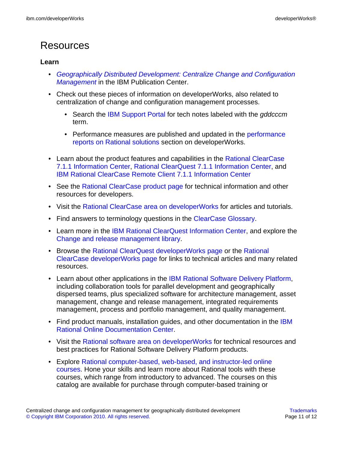# Resources

#### **Learn**

- [Geographically Distributed Development: Centralize Change and Configuration](http://publib.boulder.ibm.com/infocenter/gddcccm/v1r0/index.jsp) **[Management](http://publib.boulder.ibm.com/infocenter/gddcccm/v1r0/index.jsp)** in the IBM Publication Center.
- Check out these pieces of information on developerWorks, also related to centralization of change and configuration management processes.
	- Search the [IBM Support Portal](http://www-01.ibm.com/support/search.wss?q=gddcccm) for tech notes labeled with the gddcccm term.
	- Performance measures are published and updated in the [performance](http://www.ibm.com/developerworks/rational/performance/) [reports on Rational solutions](http://www.ibm.com/developerworks/rational/performance/) section on developerWorks.
- Learn about the product features and capabilities in the [Rational ClearCase](https://publib.boulder.ibm.com/infocenter/cchelp/v7r1m0/index.jsp) [7.1.1 Information Center,](https://publib.boulder.ibm.com/infocenter/cchelp/v7r1m0/index.jsp) [Rational ClearQuest 7.1.1 Information Center](https://publib.boulder.ibm.com/infocenter/cqhelp/v7r1m0/index.jsp), and [IBM Rational ClearCase Remote Client 7.1.1 Information Center](https://publib.boulder.ibm.com/infocenter/cchelp/v7r1m0/topic/com.ibm.rational.clearcase.help.ic.doc/helpindex_ccrc.htm)
- See the [Rational ClearCase product page](http://www.ibm.com/developerworks/rational/products/clearcase/) for technical information and other resources for developers.
- Visit the [Rational ClearCase area on developerWorks](http://www.ibm.com/developerworks/rational/products/clearcase) for articles and tutorials.
- Find answers to terminology questions in the [ClearCase Glossary](http://www.ibm.com/developerworks/rational/library/08/0129_clearcase_glossary/activity.html).
- Learn more in the [IBM Rational ClearQuest Information Center](http://www-01.ibm.com/software/awdtools/clearquest/), and explore the [Change and release management library.](http://www-01.ibm.com/software/rational/offerings/crm/library.html)
- Browse the [Rational ClearQuest developerWorks page](https://www.ibm.com/developerworks/rational/products/clearquest/) or the [Rational](https://www.ibm.com/developerworks/rational/products/clearcase/) [ClearCase developerWorks page](https://www.ibm.com/developerworks/rational/products/clearcase/) for links to technical articles and many related resources.
- Learn about other applications in the [IBM Rational Software Delivery Platform,](http://www.ibm.com/software/info/developer/index.html) including collaboration tools for parallel development and geographically dispersed teams, plus specialized software for architecture management, asset management, change and release management, integrated requirements management, process and portfolio management, and quality management.
- Find product manuals, installation guides, and other documentation in the [IBM](http://www.ibm.com/software/rational/support/documentation/) [Rational Online Documentation Center.](http://www.ibm.com/software/rational/support/documentation/)
- Visit the [Rational software area on developerWorks](http://www.ibm.com/developerworks/rational) for technical resources and best practices for Rational Software Delivery Platform products.
- Explore [Rational computer-based, web-based, and instructor-led online](http://www.ibm.com/training/us/catalog/rational) courses. Hone your skills and learn more about Rational tools with these courses, which range from introductory to advanced. The courses on this catalog are available for purchase through computer-based training or